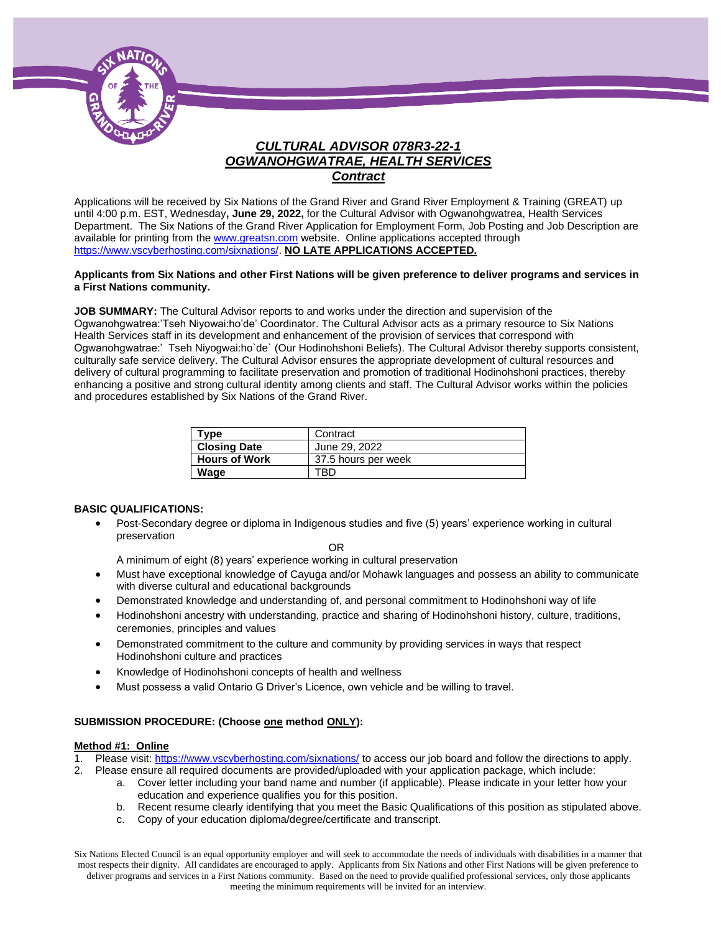

## *CULTURAL ADVISOR 078R3-22-1 OGWANOHGWATRAE, HEALTH SERVICES Contract*

Applications will be received by Six Nations of the Grand River and Grand River Employment & Training (GREAT) up until 4:00 p.m. EST, Wednesday**, June 29, 2022,** for the Cultural Advisor with Ogwanohgwatrea, Health Services Department. The Six Nations of the Grand River Application for Employment Form, Job Posting and Job Description are available for printing from th[e www.greatsn.com](http://www.greatsn.com/) website. Online applications accepted through [https://www.vscyberhosting.com/sixnations/.](https://www.vscyberhosting.com/sixnations/) **NO LATE APPLICATIONS ACCEPTED.**

#### **Applicants from Six Nations and other First Nations will be given preference to deliver programs and services in a First Nations community.**

**JOB SUMMARY:** The Cultural Advisor reports to and works under the direction and supervision of the Ogwanohgwatrea:'Tseh Niyowai:ho'de' Coordinator. The Cultural Advisor acts as a primary resource to Six Nations Health Services staff in its development and enhancement of the provision of services that correspond with Ogwanohgwatrae:' Tseh Niyogwai:ho`de` (Our Hodinohshoni Beliefs). The Cultural Advisor thereby supports consistent, culturally safe service delivery. The Cultural Advisor ensures the appropriate development of cultural resources and delivery of cultural programming to facilitate preservation and promotion of traditional Hodinohshoni practices, thereby enhancing a positive and strong cultural identity among clients and staff. The Cultural Advisor works within the policies and procedures established by Six Nations of the Grand River.

| Type                 | Contract            |
|----------------------|---------------------|
| <b>Closing Date</b>  | June 29, 2022       |
| <b>Hours of Work</b> | 37.5 hours per week |
| Wage                 | TBD                 |

#### **BASIC QUALIFICATIONS:**

• Post-Secondary degree or diploma in Indigenous studies and five (5) years' experience working in cultural preservation

OR

A minimum of eight (8) years' experience working in cultural preservation

- Must have exceptional knowledge of Cayuga and/or Mohawk languages and possess an ability to communicate with diverse cultural and educational backgrounds
- Demonstrated knowledge and understanding of, and personal commitment to Hodinohshoni way of life
- Hodinohshoni ancestry with understanding, practice and sharing of Hodinohshoni history, culture, traditions, ceremonies, principles and values
- Demonstrated commitment to the culture and community by providing services in ways that respect Hodinohshoni culture and practices
- Knowledge of Hodinohshoni concepts of health and wellness
- Must possess a valid Ontario G Driver's Licence, own vehicle and be willing to travel.

#### **SUBMISSION PROCEDURE: (Choose one method ONLY):**

#### **Method #1: Online**

- Please visit[: https://www.vscyberhosting.com/sixnations/](https://www.vscyberhosting.com/sixnations/) to access our job board and follow the directions to apply.
- 2. Please ensure all required documents are provided/uploaded with your application package, which include:
	- a. Cover letter including your band name and number (if applicable). Please indicate in your letter how your education and experience qualifies you for this position.
	- b. Recent resume clearly identifying that you meet the Basic Qualifications of this position as stipulated above.
	- c. Copy of your education diploma/degree/certificate and transcript.

Six Nations Elected Council is an equal opportunity employer and will seek to accommodate the needs of individuals with disabilities in a manner that most respects their dignity. All candidates are encouraged to apply. Applicants from Six Nations and other First Nations will be given preference to deliver programs and services in a First Nations community. Based on the need to provide qualified professional services, only those applicants meeting the minimum requirements will be invited for an interview.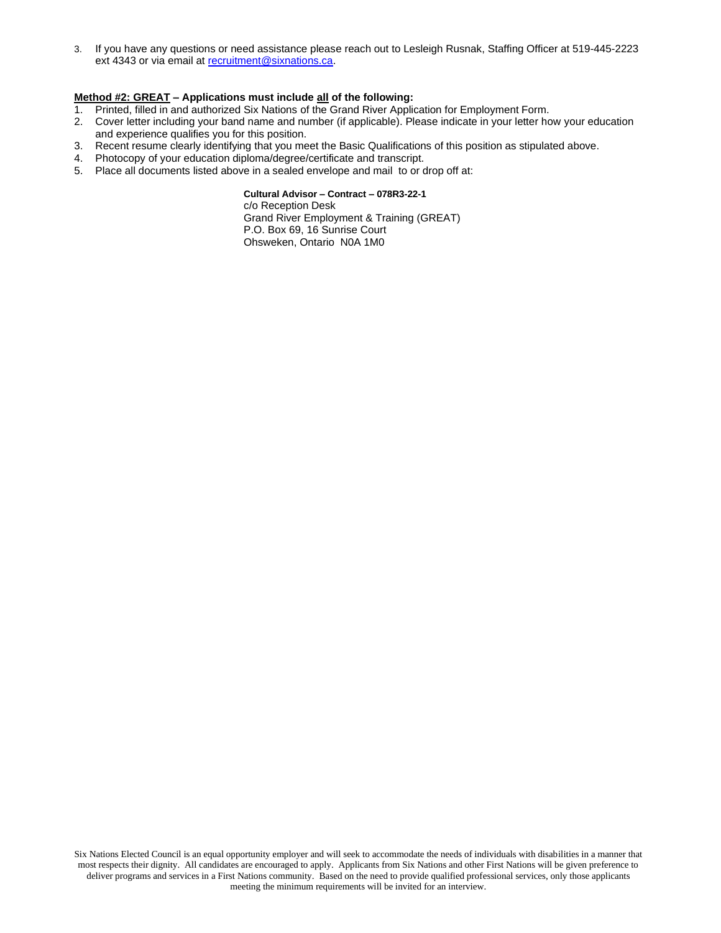3. If you have any questions or need assistance please reach out to Lesleigh Rusnak, Staffing Officer at 519-445-2223 ext 4343 or via email a[t recruitment@sixnations.ca.](mailto:StaffHR@sixnations.ca)

#### **Method #2: GREAT – Applications must include all of the following:**

- 1. Printed, filled in and authorized Six Nations of the Grand River Application for Employment Form.
- 2. Cover letter including your band name and number (if applicable). Please indicate in your letter how your education and experience qualifies you for this position.
- 3. Recent resume clearly identifying that you meet the Basic Qualifications of this position as stipulated above.
- 4. Photocopy of your education diploma/degree/certificate and transcript.
- 5. Place all documents listed above in a sealed envelope and mail to or drop off at:

**Cultural Advisor – Contract – 078R3-22-1** c/o Reception Desk Grand River Employment & Training (GREAT) P.O. Box 69, 16 Sunrise Court Ohsweken, Ontario N0A 1M0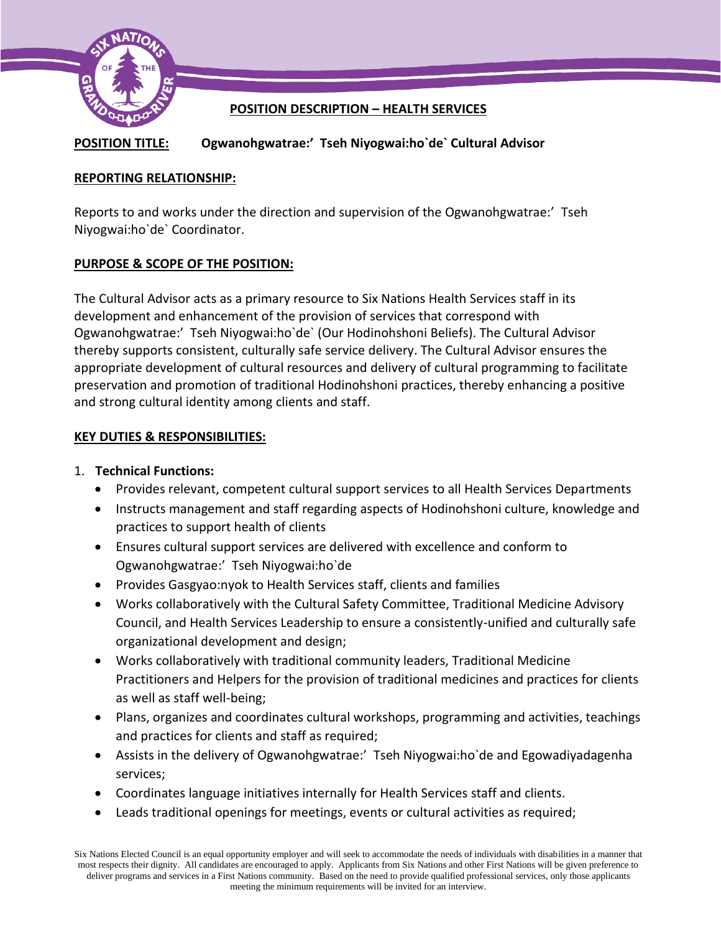

## **POSITION DESCRIPTION – HEALTH SERVICES**

## **POSITION TITLE: Ogwanohgwatrae:' Tseh Niyogwai:ho`de` Cultural Advisor**

## **REPORTING RELATIONSHIP:**

Reports to and works under the direction and supervision of the Ogwanohgwatrae:' Tseh Niyogwai:ho`de` Coordinator.

### **PURPOSE & SCOPE OF THE POSITION:**

The Cultural Advisor acts as a primary resource to Six Nations Health Services staff in its development and enhancement of the provision of services that correspond with Ogwanohgwatrae:' Tseh Niyogwai:ho`de` (Our Hodinohshoni Beliefs). The Cultural Advisor thereby supports consistent, culturally safe service delivery. The Cultural Advisor ensures the appropriate development of cultural resources and delivery of cultural programming to facilitate preservation and promotion of traditional Hodinohshoni practices, thereby enhancing a positive and strong cultural identity among clients and staff.

### **KEY DUTIES & RESPONSIBILITIES:**

### 1. **Technical Functions:**

- Provides relevant, competent cultural support services to all Health Services Departments
- Instructs management and staff regarding aspects of Hodinohshoni culture, knowledge and practices to support health of clients
- Ensures cultural support services are delivered with excellence and conform to Ogwanohgwatrae:' Tseh Niyogwai:ho`de
- Provides Gasgyao:nyok to Health Services staff, clients and families
- Works collaboratively with the Cultural Safety Committee, Traditional Medicine Advisory Council, and Health Services Leadership to ensure a consistently-unified and culturally safe organizational development and design;
- Works collaboratively with traditional community leaders, Traditional Medicine Practitioners and Helpers for the provision of traditional medicines and practices for clients as well as staff well-being;
- Plans, organizes and coordinates cultural workshops, programming and activities, teachings and practices for clients and staff as required;
- Assists in the delivery of Ogwanohgwatrae:' Tseh Niyogwai:ho`de and Egowadiyadagenha services;
- Coordinates language initiatives internally for Health Services staff and clients.
- Leads traditional openings for meetings, events or cultural activities as required;

Six Nations Elected Council is an equal opportunity employer and will seek to accommodate the needs of individuals with disabilities in a manner that most respects their dignity. All candidates are encouraged to apply. Applicants from Six Nations and other First Nations will be given preference to deliver programs and services in a First Nations community. Based on the need to provide qualified professional services, only those applicants meeting the minimum requirements will be invited for an interview.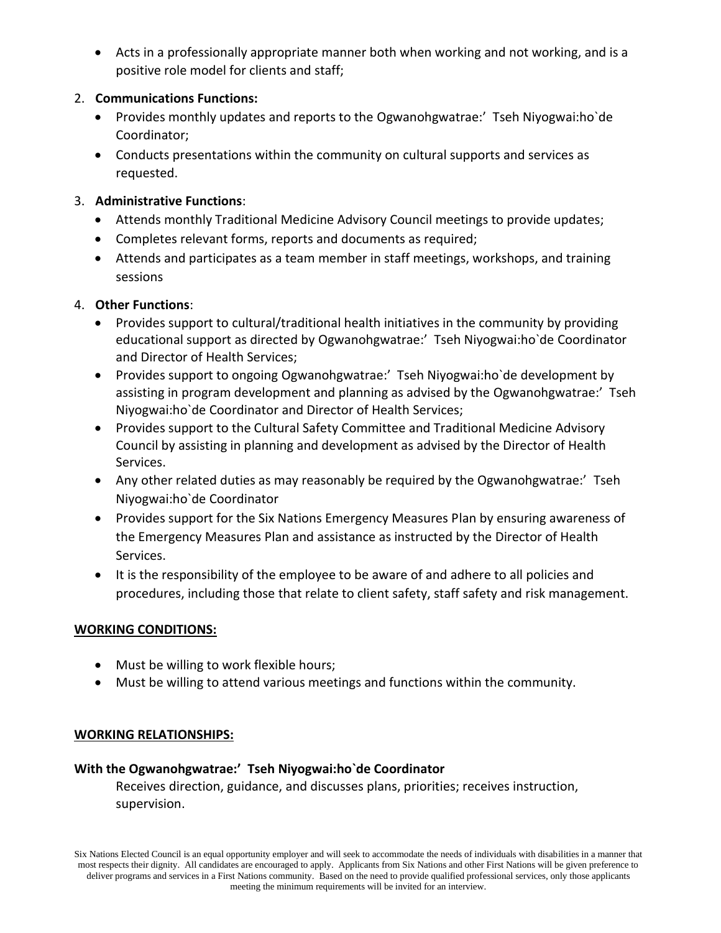• Acts in a professionally appropriate manner both when working and not working, and is a positive role model for clients and staff;

## 2. **Communications Functions:**

- Provides monthly updates and reports to the Ogwanohgwatrae:' Tseh Niyogwai:ho`de Coordinator;
- Conducts presentations within the community on cultural supports and services as requested.

## 3. **Administrative Functions**:

- Attends monthly Traditional Medicine Advisory Council meetings to provide updates;
- Completes relevant forms, reports and documents as required;
- Attends and participates as a team member in staff meetings, workshops, and training sessions

# 4. **Other Functions**:

- Provides support to cultural/traditional health initiatives in the community by providing educational support as directed by Ogwanohgwatrae:' Tseh Niyogwai:ho`de Coordinator and Director of Health Services;
- Provides support to ongoing Ogwanohgwatrae:' Tseh Niyogwai:ho`de development by assisting in program development and planning as advised by the Ogwanohgwatrae:' Tseh Niyogwai:ho`de Coordinator and Director of Health Services;
- Provides support to the Cultural Safety Committee and Traditional Medicine Advisory Council by assisting in planning and development as advised by the Director of Health Services.
- Any other related duties as may reasonably be required by the Ogwanohgwatrae:' Tseh Niyogwai:ho`de Coordinator
- Provides support for the Six Nations Emergency Measures Plan by ensuring awareness of the Emergency Measures Plan and assistance as instructed by the Director of Health Services.
- It is the responsibility of the employee to be aware of and adhere to all policies and procedures, including those that relate to client safety, staff safety and risk management.

# **WORKING CONDITIONS:**

- Must be willing to work flexible hours;
- Must be willing to attend various meetings and functions within the community.

# **WORKING RELATIONSHIPS:**

# **With the Ogwanohgwatrae:' Tseh Niyogwai:ho`de Coordinator**

Receives direction, guidance, and discusses plans, priorities; receives instruction, supervision.

Six Nations Elected Council is an equal opportunity employer and will seek to accommodate the needs of individuals with disabilities in a manner that most respects their dignity. All candidates are encouraged to apply. Applicants from Six Nations and other First Nations will be given preference to deliver programs and services in a First Nations community. Based on the need to provide qualified professional services, only those applicants meeting the minimum requirements will be invited for an interview.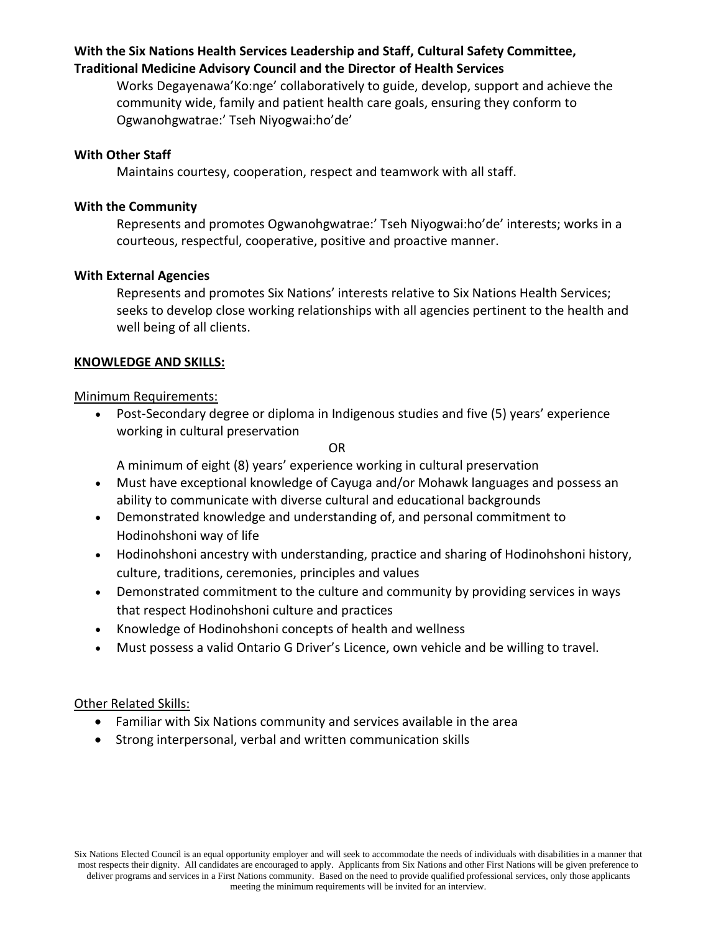## **With the Six Nations Health Services Leadership and Staff, Cultural Safety Committee, Traditional Medicine Advisory Council and the Director of Health Services**

Works Degayenawa'Ko:nge' collaboratively to guide, develop, support and achieve the community wide, family and patient health care goals, ensuring they conform to Ogwanohgwatrae:' Tseh Niyogwai:ho'de'

### **With Other Staff**

Maintains courtesy, cooperation, respect and teamwork with all staff.

### **With the Community**

Represents and promotes Ogwanohgwatrae:' Tseh Niyogwai:ho'de' interests; works in a courteous, respectful, cooperative, positive and proactive manner.

### **With External Agencies**

Represents and promotes Six Nations' interests relative to Six Nations Health Services; seeks to develop close working relationships with all agencies pertinent to the health and well being of all clients.

### **KNOWLEDGE AND SKILLS:**

### Minimum Requirements:

• Post-Secondary degree or diploma in Indigenous studies and five (5) years' experience working in cultural preservation

OR

A minimum of eight (8) years' experience working in cultural preservation

- Must have exceptional knowledge of Cayuga and/or Mohawk languages and possess an ability to communicate with diverse cultural and educational backgrounds
- Demonstrated knowledge and understanding of, and personal commitment to Hodinohshoni way of life
- Hodinohshoni ancestry with understanding, practice and sharing of Hodinohshoni history, culture, traditions, ceremonies, principles and values
- Demonstrated commitment to the culture and community by providing services in ways that respect Hodinohshoni culture and practices
- Knowledge of Hodinohshoni concepts of health and wellness
- Must possess a valid Ontario G Driver's Licence, own vehicle and be willing to travel.

### Other Related Skills:

- Familiar with Six Nations community and services available in the area
- Strong interpersonal, verbal and written communication skills